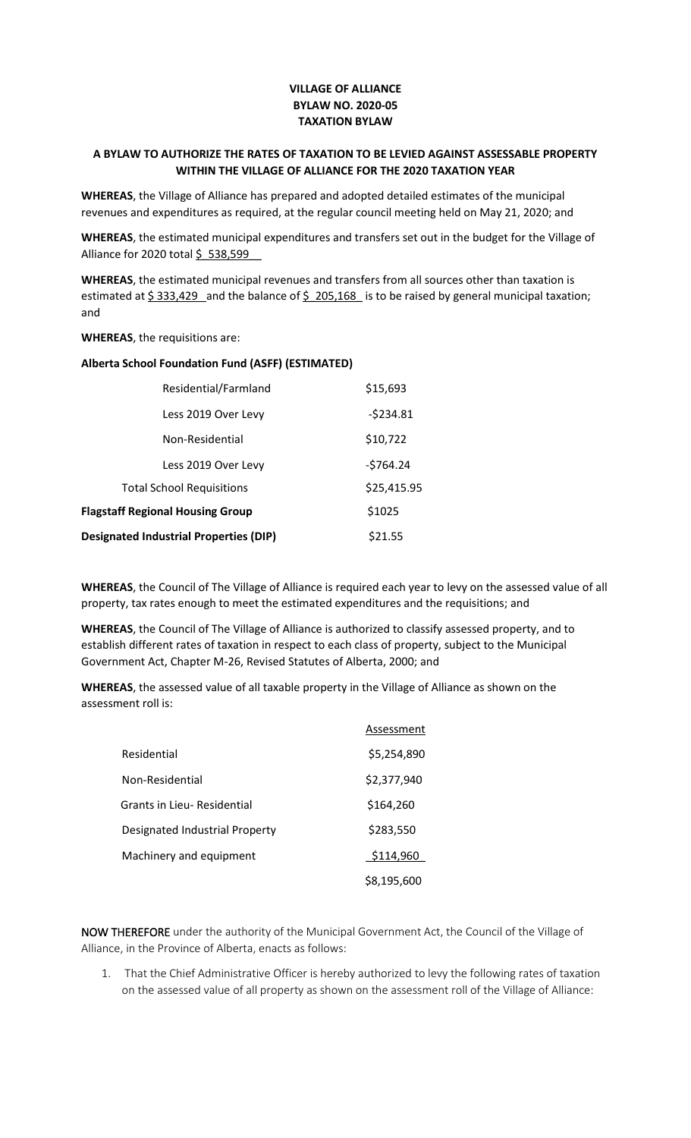## **VILLAGE OF ALLIANCE BYLAW NO. 2020-05 TAXATION BYLAW**

## **A BYLAW TO AUTHORIZE THE RATES OF TAXATION TO BE LEVIED AGAINST ASSESSABLE PROPERTY WITHIN THE VILLAGE OF ALLIANCE FOR THE 2020 TAXATION YEAR**

**WHEREAS**, the Village of Alliance has prepared and adopted detailed estimates of the municipal revenues and expenditures as required, at the regular council meeting held on May 21, 2020; and

**WHEREAS**, the estimated municipal expenditures and transfers set out in the budget for the Village of Alliance for 2020 total \$ 538,599

**WHEREAS**, the estimated municipal revenues and transfers from all sources other than taxation is estimated at  $\frac{5}{333,429}$  and the balance of  $\frac{5}{205,168}$  is to be raised by general municipal taxation; and

**WHEREAS**, the requisitions are:

## **Alberta School Foundation Fund (ASFF) (ESTIMATED)**

| Residential/Farmland                          | \$15,693    |
|-----------------------------------------------|-------------|
| Less 2019 Over Levy                           | $-5234.81$  |
| Non-Residential                               | \$10,722    |
| Less 2019 Over Levy                           | $-5764.24$  |
| <b>Total School Requisitions</b>              | \$25,415.95 |
| <b>Flagstaff Regional Housing Group</b>       | \$1025      |
| <b>Designated Industrial Properties (DIP)</b> | \$21.55     |

**WHEREAS**, the Council of The Village of Alliance is required each year to levy on the assessed value of all property, tax rates enough to meet the estimated expenditures and the requisitions; and

**WHEREAS**, the Council of The Village of Alliance is authorized to classify assessed property, and to establish different rates of taxation in respect to each class of property, subject to the Municipal Government Act, Chapter M-26, Revised Statutes of Alberta, 2000; and

**WHEREAS**, the assessed value of all taxable property in the Village of Alliance as shown on the assessment roll is:

|                                    | Assessment  |
|------------------------------------|-------------|
| Residential                        | \$5,254,890 |
| Non-Residential                    | \$2,377,940 |
| <b>Grants in Lieu- Residential</b> | \$164,260   |
| Designated Industrial Property     | \$283,550   |
| Machinery and equipment            | \$114,960   |
|                                    | \$8,195,600 |

NOW THEREFORE under the authority of the Municipal Government Act, the Council of the Village of Alliance, in the Province of Alberta, enacts as follows:

1. That the Chief Administrative Officer is hereby authorized to levy the following rates of taxation on the assessed value of all property as shown on the assessment roll of the Village of Alliance: